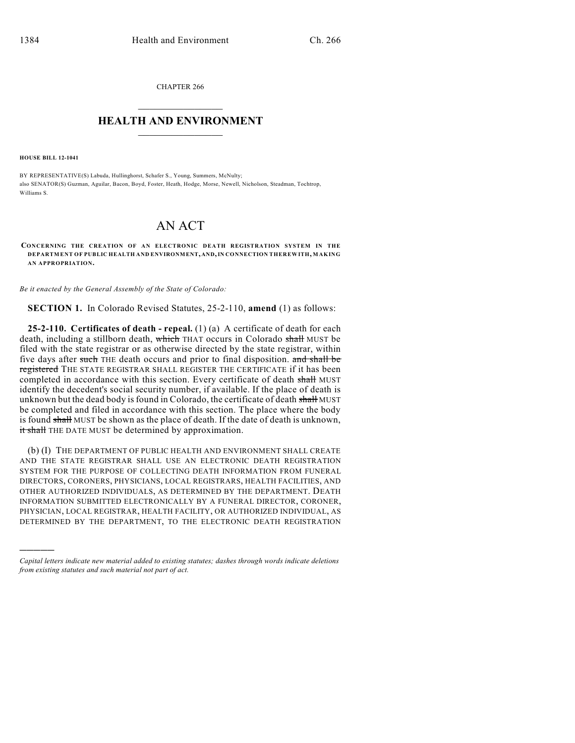CHAPTER 266  $\overline{\phantom{a}}$  . The set of the set of the set of the set of the set of the set of the set of the set of the set of the set of the set of the set of the set of the set of the set of the set of the set of the set of the set o

## **HEALTH AND ENVIRONMENT**  $\_$

**HOUSE BILL 12-1041**

)))))

BY REPRESENTATIVE(S) Labuda, Hullinghorst, Schafer S., Young, Summers, McNulty; also SENATOR(S) Guzman, Aguilar, Bacon, Boyd, Foster, Heath, Hodge, Morse, Newell, Nicholson, Steadman, Tochtrop, Williams S.

## AN ACT

**CONCERNING THE CREATION OF AN ELECTRONIC DEATH REGISTRATION SYSTEM IN THE DEPARTMENT OF PUBLIC HEALTH AND ENVIRONMENT, AND,IN CONNECTION THEREWITH, MAKING AN APPROPRIATION.**

*Be it enacted by the General Assembly of the State of Colorado:*

**SECTION 1.** In Colorado Revised Statutes, 25-2-110, **amend** (1) as follows:

**25-2-110. Certificates of death - repeal.** (1) (a) A certificate of death for each death, including a stillborn death, which THAT occurs in Colorado shall MUST be filed with the state registrar or as otherwise directed by the state registrar, within five days after such THE death occurs and prior to final disposition. and shall be registered THE STATE REGISTRAR SHALL REGISTER THE CERTIFICATE if it has been completed in accordance with this section. Every certificate of death shall MUST identify the decedent's social security number, if available. If the place of death is unknown but the dead body is found in Colorado, the certificate of death shall MUST be completed and filed in accordance with this section. The place where the body is found shall MUST be shown as the place of death. If the date of death is unknown, it shall THE DATE MUST be determined by approximation.

(b) (I) THE DEPARTMENT OF PUBLIC HEALTH AND ENVIRONMENT SHALL CREATE AND THE STATE REGISTRAR SHALL USE AN ELECTRONIC DEATH REGISTRATION SYSTEM FOR THE PURPOSE OF COLLECTING DEATH INFORMATION FROM FUNERAL DIRECTORS, CORONERS, PHYSICIANS, LOCAL REGISTRARS, HEALTH FACILITIES, AND OTHER AUTHORIZED INDIVIDUALS, AS DETERMINED BY THE DEPARTMENT. DEATH INFORMATION SUBMITTED ELECTRONICALLY BY A FUNERAL DIRECTOR, CORONER, PHYSICIAN, LOCAL REGISTRAR, HEALTH FACILITY, OR AUTHORIZED INDIVIDUAL, AS DETERMINED BY THE DEPARTMENT, TO THE ELECTRONIC DEATH REGISTRATION

*Capital letters indicate new material added to existing statutes; dashes through words indicate deletions from existing statutes and such material not part of act.*